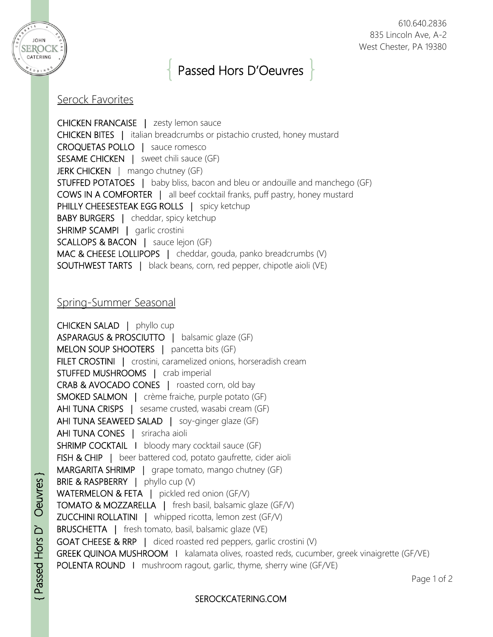

## Passed Hors D'Oeuvres

## Serock Favorites

CHICKEN FRANCAISE | zesty lemon sauce CHICKEN BITES | italian breadcrumbs or pistachio crusted, honey mustard CROQUETAS POLLO | sauce romesco SESAME CHICKEN | sweet chili sauce (GF) JERK CHICKEN | mango chutney (GF) STUFFED POTATOES | baby bliss, bacon and bleu or andouille and manchego (GF) COWS IN A COMFORTER | all beef cocktail franks, puff pastry, honey mustard PHILLY CHEESESTEAK EGG ROLLS | spicy ketchup BABY BURGERS | cheddar, spicy ketchup SHRIMP SCAMPI | garlic crostini SCALLOPS & BACON | sauce lejon (GF) MAC & CHEESE LOLLIPOPS | cheddar, gouda, panko breadcrumbs (V) SOUTHWEST TARTS | black beans, corn, red pepper, chipotle aioli (VE)

## Spring-Summer Seasonal

CHICKEN SALAD | phyllo cup ASPARAGUS & PROSCIUTTO | balsamic glaze (GF) MELON SOUP SHOOTERS | pancetta bits (GF) FILET CROSTINI | crostini, caramelized onions, horseradish cream STUFFED MUSHROOMS | crab imperial CRAB & AVOCADO CONES | roasted corn, old bay SMOKED SALMON | crème fraiche, purple potato (GF) AHI TUNA CRISPS | sesame crusted, wasabi cream (GF) AHI TUNA SEAWEED SALAD | soy-ginger glaze (GF) AHI TUNA CONES | sriracha aioli **SHRIMP COCKTAIL I** bloody mary cocktail sauce (GF) FISH & CHIP | beer battered cod, potato gaufrette, cider aioli MARGARITA SHRIMP | grape tomato, mango chutney (GF) BRIE & RASPBERRY | phyllo cup (V) WATERMELON & FETA | pickled red onion (GF/V) TOMATO & MOZZARELLA | fresh basil, balsamic glaze (GF/V) ZUCCHINI ROLLATINI | whipped ricotta, lemon zest (GF/V) BRUSCHETTA | fresh tomato, basil, balsamic glaze (VE) GOAT CHEESE & RRP | diced roasted red peppers, garlic crostini (V) GREEK QUINOA MUSHROOM | kalamata olives, roasted reds, cucumber, greek vinaigrette (GF/VE) POLENTA ROUND I mushroom ragout, garlic, thyme, sherry wine (GF/VE)